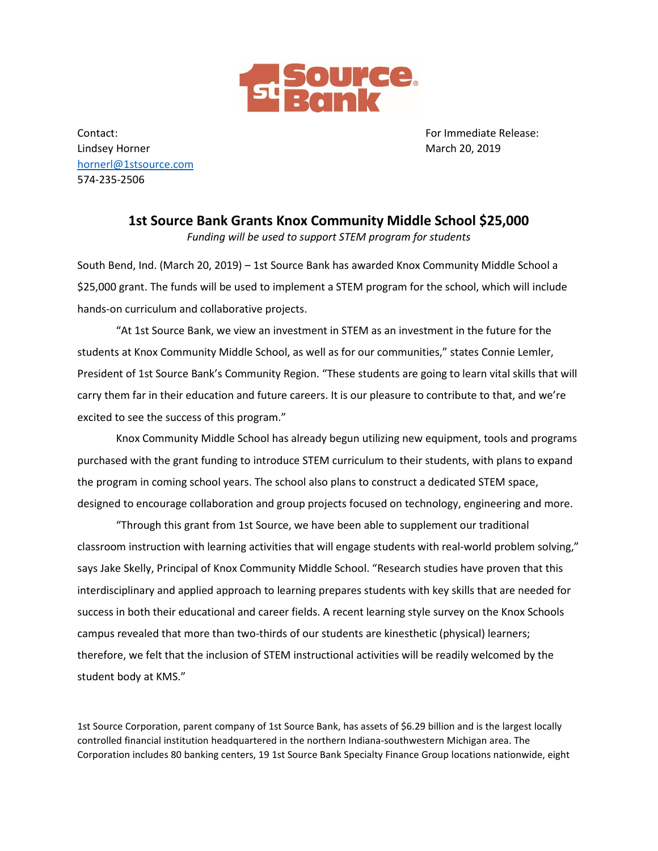

Contact: For Immediate Release: Lindsey Horner March 20, 2019 [hornerl@1stsource.com](mailto:hornerl@1stsource.com) 574-235-2506

**1st Source Bank Grants Knox Community Middle School \$25,000**  *Funding will be used to support STEM program for students*

South Bend, Ind. (March 20, 2019) – 1st Source Bank has awarded Knox Community Middle School a \$25,000 grant. The funds will be used to implement a STEM program for the school, which will include hands-on curriculum and collaborative projects.

"At 1st Source Bank, we view an investment in STEM as an investment in the future for the students at Knox Community Middle School, as well as for our communities," states Connie Lemler, President of 1st Source Bank's Community Region. "These students are going to learn vital skills that will carry them far in their education and future careers. It is our pleasure to contribute to that, and we're excited to see the success of this program."

Knox Community Middle School has already begun utilizing new equipment, tools and programs purchased with the grant funding to introduce STEM curriculum to their students, with plans to expand the program in coming school years. The school also plans to construct a dedicated STEM space, designed to encourage collaboration and group projects focused on technology, engineering and more.

"Through this grant from 1st Source, we have been able to supplement our traditional classroom instruction with learning activities that will engage students with real-world problem solving," says Jake Skelly, Principal of Knox Community Middle School. "Research studies have proven that this interdisciplinary and applied approach to learning prepares students with key skills that are needed for success in both their educational and career fields. A recent learning style survey on the Knox Schools campus revealed that more than two-thirds of our students are kinesthetic (physical) learners; therefore, we felt that the inclusion of STEM instructional activities will be readily welcomed by the student body at KMS."

1st Source Corporation, parent company of 1st Source Bank, has assets of \$6.29 billion and is the largest locally controlled financial institution headquartered in the northern Indiana-southwestern Michigan area. The Corporation includes 80 banking centers, 19 1st Source Bank Specialty Finance Group locations nationwide, eight